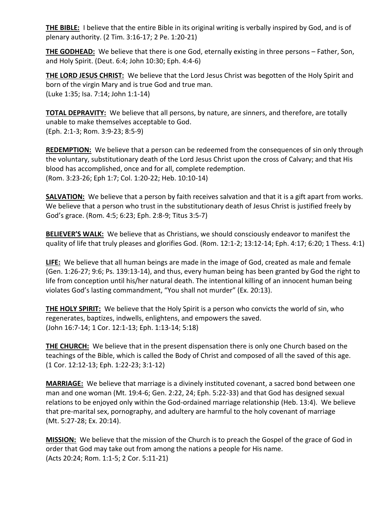**THE BIBLE:** I believe that the entire Bible in its original writing is verbally inspired by God, and is of plenary authority. (2 Tim. 3:16-17; 2 Pe. 1:20-21)

**THE GODHEAD:** We believe that there is one God, eternally existing in three persons – Father, Son, and Holy Spirit. (Deut. 6:4; John 10:30; Eph. 4:4-6)

**THE LORD JESUS CHRIST:** We believe that the Lord Jesus Christ was begotten of the Holy Spirit and born of the virgin Mary and is true God and true man. (Luke 1:35; Isa. 7:14; John 1:1-14)

**TOTAL DEPRAVITY:** We believe that all persons, by nature, are sinners, and therefore, are totally unable to make themselves acceptable to God. (Eph. 2:1-3; Rom. 3:9-23; 8:5-9)

**REDEMPTION:** We believe that a person can be redeemed from the consequences of sin only through the voluntary, substitutionary death of the Lord Jesus Christ upon the cross of Calvary; and that His blood has accomplished, once and for all, complete redemption. (Rom. 3:23-26; Eph 1:7; Col. 1:20-22; Heb. 10:10-14)

**SALVATION:** We believe that a person by faith receives salvation and that it is a gift apart from works. We believe that a person who trust in the substitutionary death of Jesus Christ is justified freely by God's grace. (Rom. 4:5; 6:23; Eph. 2:8-9; Titus 3:5-7)

**BELIEVER'S WALK:** We believe that as Christians, we should consciously endeavor to manifest the quality of life that truly pleases and glorifies God. (Rom. 12:1-2; 13:12-14; Eph. 4:17; 6:20; 1 Thess. 4:1)

**LIFE:** We believe that all human beings are made in the image of God, created as male and female (Gen. 1:26-27; 9:6; Ps. 139:13-14), and thus, every human being has been granted by God the right to life from conception until his/her natural death. The intentional killing of an innocent human being violates God's lasting commandment, "You shall not murder" (Ex. 20:13).

**THE HOLY SPIRIT:** We believe that the Holy Spirit is a person who convicts the world of sin, who regenerates, baptizes, indwells, enlightens, and empowers the saved. (John 16:7-14; 1 Cor. 12:1-13; Eph. 1:13-14; 5:18)

**THE CHURCH:** We believe that in the present dispensation there is only one Church based on the teachings of the Bible, which is called the Body of Christ and composed of all the saved of this age. (1 Cor. 12:12-13; Eph. 1:22-23; 3:1-12)

**MARRIAGE:** We believe that marriage is a divinely instituted covenant, a sacred bond between one man and one woman (Mt. 19:4-6; Gen. 2:22, 24; Eph. 5:22-33) and that God has designed sexual relations to be enjoyed only within the God-ordained marriage relationship (Heb. 13:4). We believe that pre-marital sex, pornography, and adultery are harmful to the holy covenant of marriage (Mt. 5:27-28; Ex. 20:14).

**MISSION:** We believe that the mission of the Church is to preach the Gospel of the grace of God in order that God may take out from among the nations a people for His name. (Acts 20:24; Rom. 1:1-5; 2 Cor. 5:11-21)